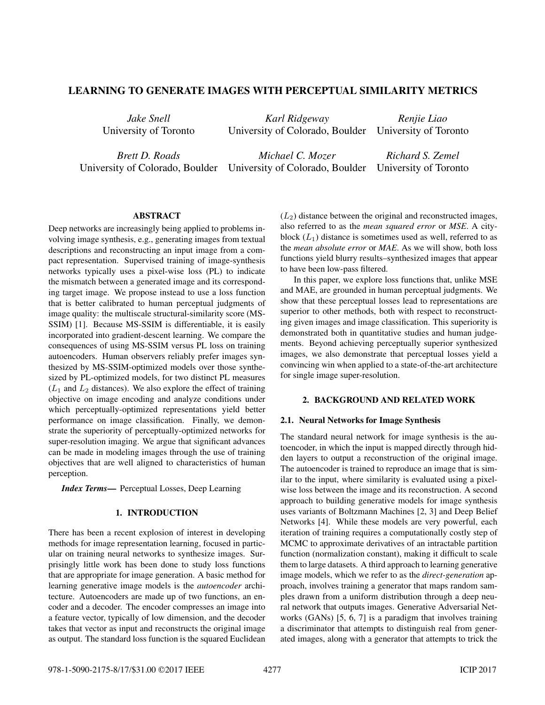# LEARNING TO GENERATE IMAGES WITH PERCEPTUAL SIMILARITY METRICS

*Jake Snell* University of Toronto

*Karl Ridgeway* University of Colorado, Boulder University of Toronto

*Renjie Liao*

*Brett D. Roads* University of Colorado, Boulder University of Colorado, Boulder University of Toronto *Michael C. Mozer Richard S. Zemel*

# ABSTRACT

Deep networks are increasingly being applied to problems involving image synthesis, e.g., generating images from textual descriptions and reconstructing an input image from a compact representation. Supervised training of image-synthesis networks typically uses a pixel-wise loss (PL) to indicate the mismatch between a generated image and its corresponding target image. We propose instead to use a loss function that is better calibrated to human perceptual judgments of image quality: the multiscale structural-similarity score (MS-SSIM) [1]. Because MS-SSIM is differentiable, it is easily incorporated into gradient-descent learning. We compare the consequences of using MS-SSIM versus PL loss on training autoencoders. Human observers reliably prefer images synthesized by MS-SSIM-optimized models over those synthesized by PL-optimized models, for two distinct PL measures  $(L_1$  and  $L_2$  distances). We also explore the effect of training objective on image encoding and analyze conditions under which perceptually-optimized representations yield better performance on image classification. Finally, we demonstrate the superiority of perceptually-optimized networks for super-resolution imaging. We argue that significant advances can be made in modeling images through the use of training objectives that are well aligned to characteristics of human perception.

*Index Terms*— Perceptual Losses, Deep Learning

# 1. INTRODUCTION

There has been a recent explosion of interest in developing methods for image representation learning, focused in particular on training neural networks to synthesize images. Surprisingly little work has been done to study loss functions that are appropriate for image generation. A basic method for learning generative image models is the *autoencoder* architecture. Autoencoders are made up of two functions, an encoder and a decoder. The encoder compresses an image into a feature vector, typically of low dimension, and the decoder takes that vector as input and reconstructs the original image as output. The standard loss function is the squared Euclidean

 $(L<sub>2</sub>)$  distance between the original and reconstructed images, also referred to as the *mean squared error* or *MSE*. A cityblock  $(L_1)$  distance is sometimes used as well, referred to as the *mean absolute error* or *MAE*. As we will show, both loss functions yield blurry results–synthesized images that appear to have been low-pass filtered.

In this paper, we explore loss functions that, unlike MSE and MAE, are grounded in human perceptual judgments. We show that these perceptual losses lead to representations are superior to other methods, both with respect to reconstructing given images and image classification. This superiority is demonstrated both in quantitative studies and human judgements. Beyond achieving perceptually superior synthesized images, we also demonstrate that perceptual losses yield a convincing win when applied to a state-of-the-art architecture for single image super-resolution.

## 2. BACKGROUND AND RELATED WORK

### 2.1. Neural Networks for Image Synthesis

The standard neural network for image synthesis is the autoencoder, in which the input is mapped directly through hidden layers to output a reconstruction of the original image. The autoencoder is trained to reproduce an image that is similar to the input, where similarity is evaluated using a pixelwise loss between the image and its reconstruction. A second approach to building generative models for image synthesis uses variants of Boltzmann Machines [2, 3] and Deep Belief Networks [4]. While these models are very powerful, each iteration of training requires a computationally costly step of MCMC to approximate derivatives of an intractable partition function (normalization constant), making it difficult to scale them to large datasets. A third approach to learning generative image models, which we refer to as the *direct-generation* approach, involves training a generator that maps random samples drawn from a uniform distribution through a deep neural network that outputs images. Generative Adversarial Networks (GANs) [5, 6, 7] is a paradigm that involves training a discriminator that attempts to distinguish real from generated images, along with a generator that attempts to trick the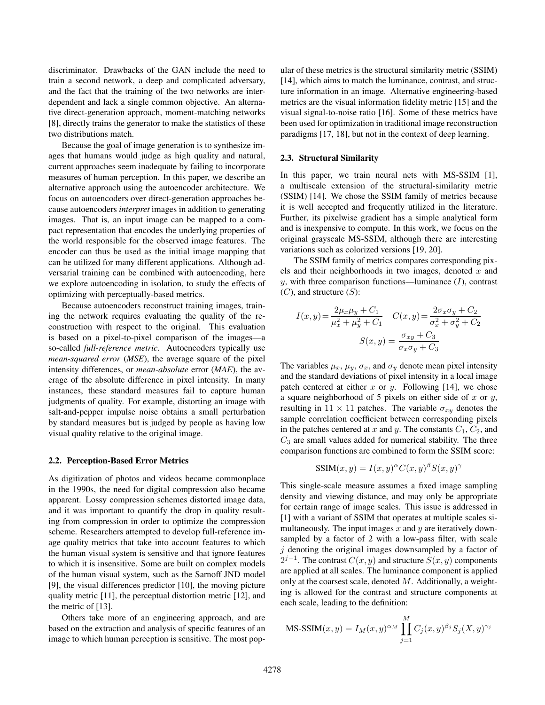discriminator. Drawbacks of the GAN include the need to train a second network, a deep and complicated adversary, and the fact that the training of the two networks are interdependent and lack a single common objective. An alternative direct-generation approach, moment-matching networks [8], directly trains the generator to make the statistics of these two distributions match.

Because the goal of image generation is to synthesize images that humans would judge as high quality and natural, current approaches seem inadequate by failing to incorporate measures of human perception. In this paper, we describe an alternative approach using the autoencoder architecture. We focus on autoencoders over direct-generation approaches because autoencoders *interpret* images in addition to generating images. That is, an input image can be mapped to a compact representation that encodes the underlying properties of the world responsible for the observed image features. The encoder can thus be used as the initial image mapping that can be utilized for many different applications. Although adversarial training can be combined with autoencoding, here we explore autoencoding in isolation, to study the effects of optimizing with perceptually-based metrics.

Because autoencoders reconstruct training images, training the network requires evaluating the quality of the reconstruction with respect to the original. This evaluation is based on a pixel-to-pixel comparison of the images—a so-called *full-reference metric*. Autoencoders typically use *mean-squared error* (*MSE*), the average square of the pixel intensity differences, or *mean-absolute* error (*MAE*), the average of the absolute difference in pixel intensity. In many instances, these standard measures fail to capture human judgments of quality. For example, distorting an image with salt-and-pepper impulse noise obtains a small perturbation by standard measures but is judged by people as having low visual quality relative to the original image.

#### 2.2. Perception-Based Error Metrics

As digitization of photos and videos became commonplace in the 1990s, the need for digital compression also became apparent. Lossy compression schemes distorted image data, and it was important to quantify the drop in quality resulting from compression in order to optimize the compression scheme. Researchers attempted to develop full-reference image quality metrics that take into account features to which the human visual system is sensitive and that ignore features to which it is insensitive. Some are built on complex models of the human visual system, such as the Sarnoff JND model [9], the visual differences predictor [10], the moving picture quality metric [11], the perceptual distortion metric [12], and the metric of [13].

Others take more of an engineering approach, and are based on the extraction and analysis of specific features of an image to which human perception is sensitive. The most popular of these metrics is the structural similarity metric (SSIM) [14], which aims to match the luminance, contrast, and structure information in an image. Alternative engineering-based metrics are the visual information fidelity metric [15] and the visual signal-to-noise ratio [16]. Some of these metrics have been used for optimization in traditional image reconstruction paradigms [17, 18], but not in the context of deep learning.

# 2.3. Structural Similarity

In this paper, we train neural nets with MS-SSIM [1], a multiscale extension of the structural-similarity metric (SSIM) [14]. We chose the SSIM family of metrics because it is well accepted and frequently utilized in the literature. Further, its pixelwise gradient has a simple analytical form and is inexpensive to compute. In this work, we focus on the original grayscale MS-SSIM, although there are interesting variations such as colorized versions [19, 20].

The SSIM family of metrics compares corresponding pixels and their neighborhoods in two images, denoted  $x$  and y, with three comparison functions—luminance  $(I)$ , contrast  $(C)$ , and structure  $(S)$ :

$$
I(x,y) = \frac{2\mu_x \mu_y + C_1}{\mu_x^2 + \mu_y^2 + C_1} \quad C(x,y) = \frac{2\sigma_x \sigma_y + C_2}{\sigma_x^2 + \sigma_y^2 + C_2}
$$

$$
S(x,y) = \frac{\sigma_{xy} + C_3}{\sigma_x \sigma_y + C_3}
$$

The variables  $\mu_x$ ,  $\mu_y$ ,  $\sigma_x$ , and  $\sigma_y$  denote mean pixel intensity and the standard deviations of pixel intensity in a local image patch centered at either  $x$  or  $y$ . Following [14], we chose a square neighborhood of 5 pixels on either side of  $x$  or  $y$ , resulting in  $11 \times 11$  patches. The variable  $\sigma_{xy}$  denotes the sample correlation coefficient between corresponding pixels in the patches centered at x and y. The constants  $C_1$ ,  $C_2$ , and  $C_3$  are small values added for numerical stability. The three comparison functions are combined to form the SSIM score:

$$
SSIM(x, y) = I(x, y)^{\alpha} C(x, y)^{\beta} S(x, y)^{\gamma}
$$

This single-scale measure assumes a fixed image sampling density and viewing distance, and may only be appropriate for certain range of image scales. This issue is addressed in [1] with a variant of SSIM that operates at multiple scales simultaneously. The input images  $x$  and  $y$  are iteratively downsampled by a factor of 2 with a low-pass filter, with scale  $j$  denoting the original images downsampled by a factor of  $2^{j-1}$ . The contrast  $C(x, y)$  and structure  $S(x, y)$  components are applied at all scales. The luminance component is applied only at the coarsest scale, denoted  $M$ . Additionally, a weighting is allowed for the contrast and structure components at each scale, leading to the definition:

$$
\text{MS-SSIM}(x, y) = I_M(x, y)^{\alpha_M} \prod_{j=1}^M C_j(x, y)^{\beta_j} S_j(X, y)^{\gamma_j}
$$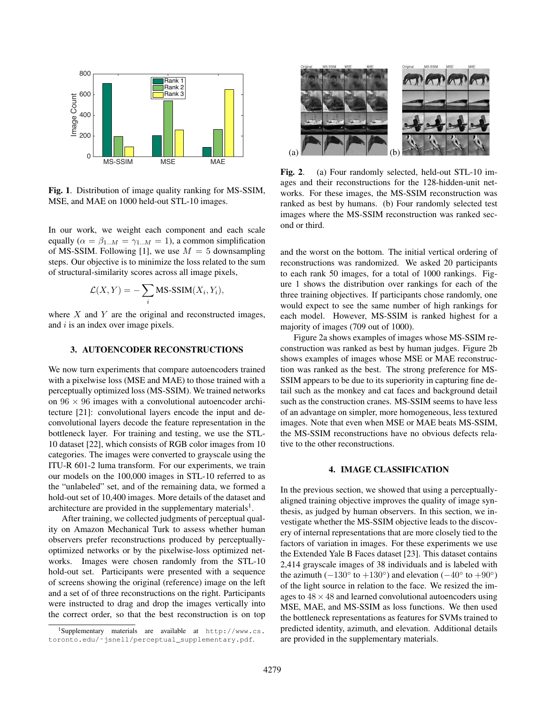

Fig. 1. Distribution of image quality ranking for MS-SSIM, MSE, and MAE on 1000 held-out STL-10 images.

In our work, we weight each component and each scale equally ( $\alpha = \beta_{1..M} = \gamma_{1..M} = 1$ ), a common simplification of MS-SSIM. Following [1], we use  $M = 5$  downsampling steps. Our objective is to minimize the loss related to the sum of structural-similarity scores across all image pixels,

$$
\mathcal{L}(X,Y) = -\sum_{i} \text{MS-SSIM}(X_i, Y_i),
$$

where  $X$  and  $Y$  are the original and reconstructed images, and  $i$  is an index over image pixels.

#### 3. AUTOENCODER RECONSTRUCTIONS

We now turn experiments that compare autoencoders trained with a pixelwise loss (MSE and MAE) to those trained with a perceptually optimized loss (MS-SSIM). We trained networks on  $96 \times 96$  images with a convolutional autoencoder architecture [21]: convolutional layers encode the input and deconvolutional layers decode the feature representation in the bottleneck layer. For training and testing, we use the STL-10 dataset [22], which consists of RGB color images from 10 categories. The images were converted to grayscale using the ITU-R 601-2 luma transform. For our experiments, we train our models on the 100,000 images in STL-10 referred to as the "unlabeled" set, and of the remaining data, we formed a hold-out set of 10,400 images. More details of the dataset and architecture are provided in the supplementary materials<sup>1</sup>.

After training, we collected judgments of perceptual quality on Amazon Mechanical Turk to assess whether human observers prefer reconstructions produced by perceptuallyoptimized networks or by the pixelwise-loss optimized networks. Images were chosen randomly from the STL-10 hold-out set. Participants were presented with a sequence of screens showing the original (reference) image on the left and a set of of three reconstructions on the right. Participants were instructed to drag and drop the images vertically into the correct order, so that the best reconstruction is on top



Fig. 2. (a) Four randomly selected, held-out STL-10 images and their reconstructions for the 128-hidden-unit networks. For these images, the MS-SSIM reconstruction was ranked as best by humans. (b) Four randomly selected test images where the MS-SSIM reconstruction was ranked second or third.

and the worst on the bottom. The initial vertical ordering of reconstructions was randomized. We asked 20 participants to each rank 50 images, for a total of 1000 rankings. Figure 1 shows the distribution over rankings for each of the three training objectives. If participants chose randomly, one would expect to see the same number of high rankings for each model. However, MS-SSIM is ranked highest for a majority of images (709 out of 1000).

Figure 2a shows examples of images whose MS-SSIM reconstruction was ranked as best by human judges. Figure 2b shows examples of images whose MSE or MAE reconstruction was ranked as the best. The strong preference for MS-SSIM appears to be due to its superiority in capturing fine detail such as the monkey and cat faces and background detail such as the construction cranes. MS-SSIM seems to have less of an advantage on simpler, more homogeneous, less textured images. Note that even when MSE or MAE beats MS-SSIM, the MS-SSIM reconstructions have no obvious defects relative to the other reconstructions.

# 4. IMAGE CLASSIFICATION

In the previous section, we showed that using a perceptuallyaligned training objective improves the quality of image synthesis, as judged by human observers. In this section, we investigate whether the MS-SSIM objective leads to the discovery of internal representations that are more closely tied to the factors of variation in images. For these experiments we use the Extended Yale B Faces dataset [23]. This dataset contains 2,414 grayscale images of 38 individuals and is labeled with the azimuth ( $-130^\circ$  to  $+130^\circ$ ) and elevation ( $-40^\circ$  to  $+90^\circ$ ) of the light source in relation to the face. We resized the images to  $48 \times 48$  and learned convolutional autoencoders using MSE, MAE, and MS-SSIM as loss functions. We then used the bottleneck representations as features for SVMs trained to predicted identity, azimuth, and elevation. Additional details are provided in the supplementary materials.

<sup>1</sup>Supplementary materials are available at http://www.cs. toronto.edu/˜jsnell/perceptual\_supplementary.pdf.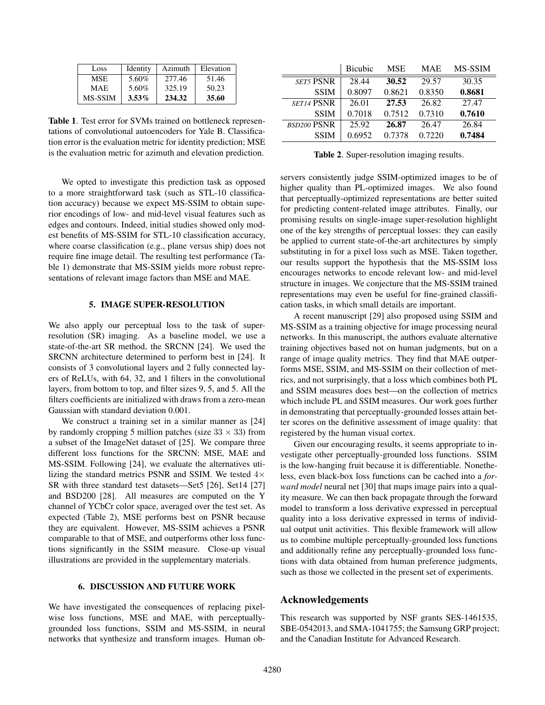| Loss           | Identity | Azimuth | Elevation |
|----------------|----------|---------|-----------|
| MSE            | 5.60%    | 277.46  | 51.46     |
| MAE            | 5.60%    | 325.19  | 50.23     |
| <b>MS-SSIM</b> | $3.53\%$ | 234.32  | 35.60     |

Table 1. Test error for SVMs trained on bottleneck representations of convolutional autoencoders for Yale B. Classification error is the evaluation metric for identity prediction; MSE is the evaluation metric for azimuth and elevation prediction.

We opted to investigate this prediction task as opposed to a more straightforward task (such as STL-10 classification accuracy) because we expect MS-SSIM to obtain superior encodings of low- and mid-level visual features such as edges and contours. Indeed, initial studies showed only modest benefits of MS-SSIM for STL-10 classification accuracy, where coarse classification (e.g., plane versus ship) does not require fine image detail. The resulting test performance (Table 1) demonstrate that MS-SSIM yields more robust representations of relevant image factors than MSE and MAE.

# 5. IMAGE SUPER-RESOLUTION

We also apply our perceptual loss to the task of superresolution (SR) imaging. As a baseline model, we use a state-of-the-art SR method, the SRCNN [24]. We used the SRCNN architecture determined to perform best in [24]. It consists of 3 convolutional layers and 2 fully connected layers of ReLUs, with 64, 32, and 1 filters in the convolutional layers, from bottom to top, and filter sizes 9, 5, and 5. All the filters coefficients are initialized with draws from a zero-mean Gaussian with standard deviation 0.001.

We construct a training set in a similar manner as [24] by randomly cropping 5 million patches (size  $33 \times 33$ ) from a subset of the ImageNet dataset of [25]. We compare three different loss functions for the SRCNN: MSE, MAE and MS-SSIM. Following [24], we evaluate the alternatives utilizing the standard metrics PSNR and SSIM. We tested  $4\times$ SR with three standard test datasets—Set5 [26], Set14 [27] and BSD200 [28]. All measures are computed on the Y channel of YCbCr color space, averaged over the test set. As expected (Table 2), MSE performs best on PSNR because they are equivalent. However, MS-SSIM achieves a PSNR comparable to that of MSE, and outperforms other loss functions significantly in the SSIM measure. Close-up visual illustrations are provided in the supplementary materials.

# 6. DISCUSSION AND FUTURE WORK

We have investigated the consequences of replacing pixelwise loss functions, MSE and MAE, with perceptuallygrounded loss functions, SSIM and MS-SSIM, in neural networks that synthesize and transform images. Human ob-

|                    | <b>Bicubic</b> | <b>MSE</b> | <b>MAE</b> | <b>MS-SSIM</b> |
|--------------------|----------------|------------|------------|----------------|
| <b>SET5 PSNR</b>   | 28.44          | 30.52      | 29.57      | 30.35          |
| <b>SSIM</b>        | 0.8097         | 0.8621     | 0.8350     | 0.8681         |
| <b>SET14 PSNR</b>  | 26.01          | 27.53      | 26.82      | 27.47          |
| <b>SSIM</b>        | 0.7018         | 0.7512     | 0.7310     | 0.7610         |
| <b>BSD200 PSNR</b> | 25.92          | 26.87      | 26.47      | 26.84          |
| <b>SSIM</b>        | 0.6952         | 0.7378     | 0.7220     | 0.7484         |

Table 2. Super-resolution imaging results.

servers consistently judge SSIM-optimized images to be of higher quality than PL-optimized images. We also found that perceptually-optimized representations are better suited for predicting content-related image attributes. Finally, our promising results on single-image super-resolution highlight one of the key strengths of perceptual losses: they can easily be applied to current state-of-the-art architectures by simply substituting in for a pixel loss such as MSE. Taken together, our results support the hypothesis that the MS-SSIM loss encourages networks to encode relevant low- and mid-level structure in images. We conjecture that the MS-SSIM trained representations may even be useful for fine-grained classification tasks, in which small details are important.

A recent manuscript [29] also proposed using SSIM and MS-SSIM as a training objective for image processing neural networks. In this manuscript, the authors evaluate alternative training objectives based not on human judgments, but on a range of image quality metrics. They find that MAE outperforms MSE, SSIM, and MS-SSIM on their collection of metrics, and not surprisingly, that a loss which combines both PL and SSIM measures does best—on the collection of metrics which include PL and SSIM measures. Our work goes further in demonstrating that perceptually-grounded losses attain better scores on the definitive assessment of image quality: that registered by the human visual cortex.

Given our encouraging results, it seems appropriate to investigate other perceptually-grounded loss functions. SSIM is the low-hanging fruit because it is differentiable. Nonetheless, even black-box loss functions can be cached into a *forward model* neural net [30] that maps image pairs into a quality measure. We can then back propagate through the forward model to transform a loss derivative expressed in perceptual quality into a loss derivative expressed in terms of individual output unit activities. This flexible framework will allow us to combine multiple perceptually-grounded loss functions and additionally refine any perceptually-grounded loss functions with data obtained from human preference judgments, such as those we collected in the present set of experiments.

# Acknowledgements

This research was supported by NSF grants SES-1461535, SBE-0542013, and SMA-1041755; the Samsung GRP project; and the Canadian Institute for Advanced Research.